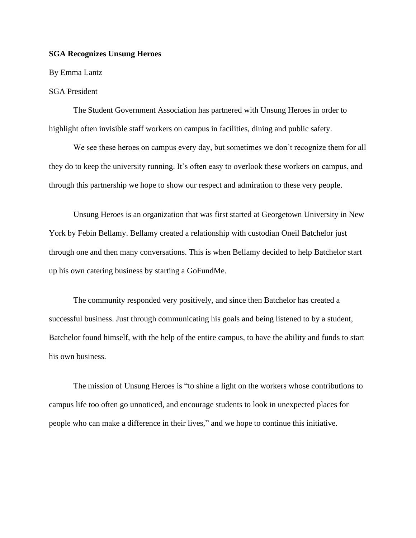## **SGA Recognizes Unsung Heroes**

## By Emma Lantz

## SGA President

The Student Government Association has partnered with Unsung Heroes in order to highlight often invisible staff workers on campus in facilities, dining and public safety.

We see these heroes on campus every day, but sometimes we don't recognize them for all they do to keep the university running. It's often easy to overlook these workers on campus, and through this partnership we hope to show our respect and admiration to these very people.

Unsung Heroes is an organization that was first started at Georgetown University in New York by Febin Bellamy. Bellamy created a relationship with custodian Oneil Batchelor just through one and then many conversations. This is when Bellamy decided to help Batchelor start up his own catering business by starting a GoFundMe.

The community responded very positively, and since then Batchelor has created a successful business. Just through communicating his goals and being listened to by a student, Batchelor found himself, with the help of the entire campus, to have the ability and funds to start his own business.

The mission of Unsung Heroes is "to shine a light on the workers whose contributions to campus life too often go unnoticed, and encourage students to look in unexpected places for people who can make a difference in their lives," and we hope to continue this initiative.